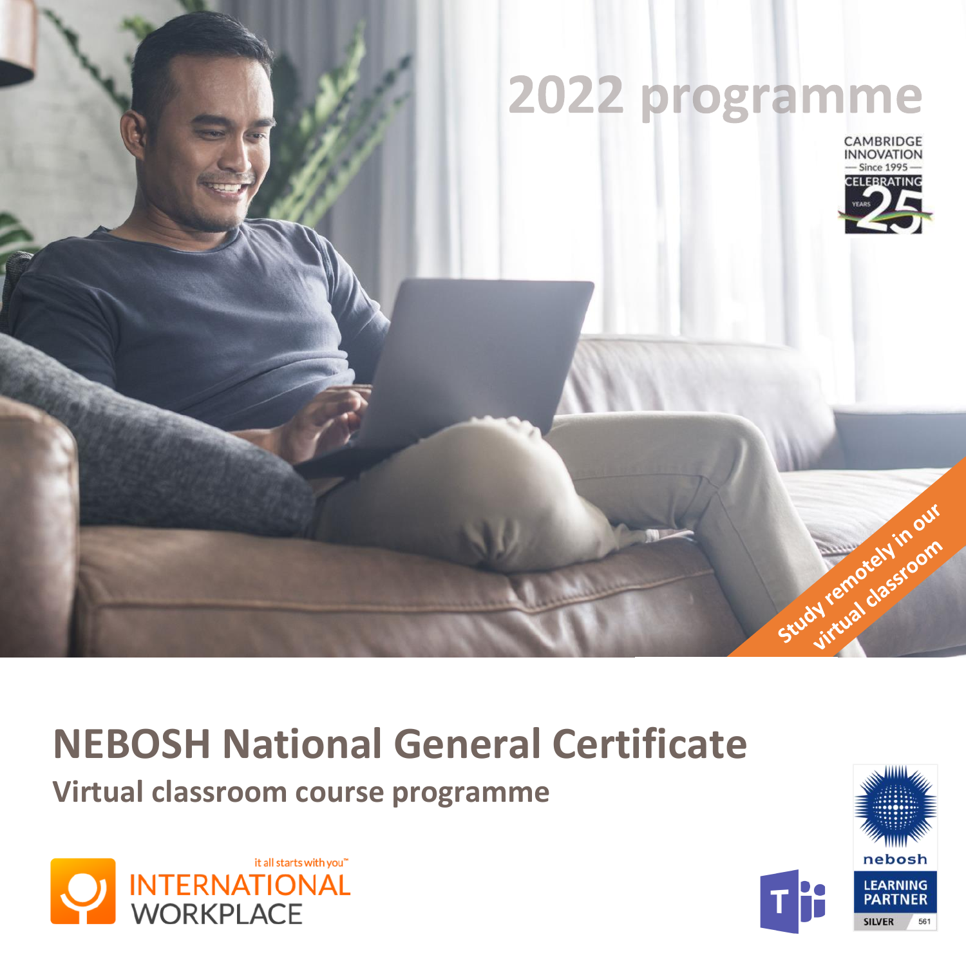# 2022 programme **CAMBRIDGE**<br>INNOVATION - Since 1995 **ELEBRATING** Study remotely in our

# **NEBOSH National General Certificate**

**Virtual classroom course programme**



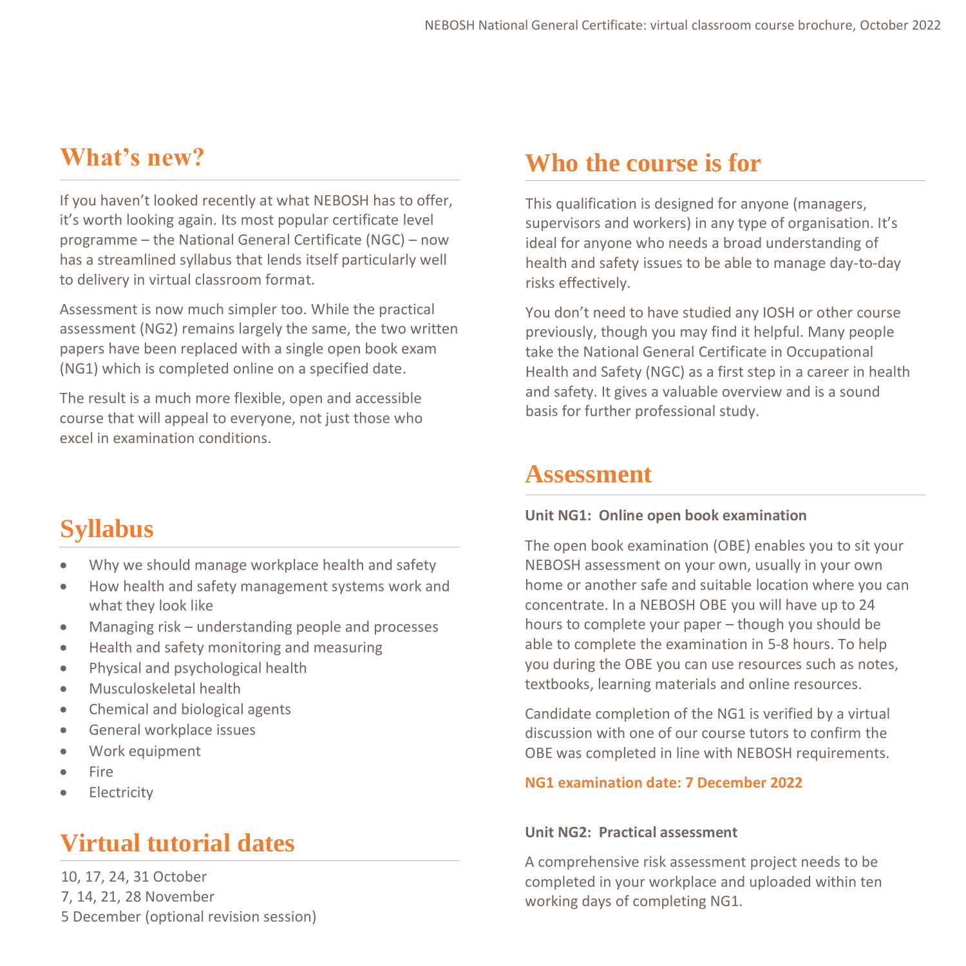If you haven't looked recently at what NEBOSH has to offer, it's worth looking again. Its most popular certificate level programme – the National General Certificate (NGC) – now has a streamlined syllabus that lends itself particularly well to delivery in virtual classroom format.

Assessment is now much simpler too. While the practical assessment (NG2) remains largely the same, the two written papers have been replaced with a single open book exam (NG1) which is completed online on a specified date.

The result is a much more flexible, open and accessible course that will appeal to everyone, not just those who excel in examination conditions.

## **Syllabus**

- Why we should manage workplace health and safety
- How health and safety management systems work and what they look like
- Managing risk understanding people and processes
- Health and safety monitoring and measuring
- Physical and psychological health
- Musculoskeletal health
- Chemical and biological agents
- General workplace issues
- Work equipment
- Fire
- **Electricity**

## **Virtual tutorial dates**

10, 17, 24, 31 October 7, 14, 21, 28 November 5 December (optional revision session)

## **What's new? Who the course is for**

This qualification is designed for anyone (managers, supervisors and workers) in any type of organisation. It's ideal for anyone who needs a broad understanding of health and safety issues to be able to manage day-to-day risks effectively.

You don't need to have studied any IOSH or other course previously, though you may find it helpful. Many people take the National General Certificate in Occupational Health and Safety (NGC) as a first step in a career in health and safety. It gives a valuable overview and is a sound basis for further professional study.

### **Assessment**

#### **Unit NG1: Online open book examination**

The open book examination (OBE) enables you to sit your NEBOSH assessment on your own, usually in your own home or another safe and suitable location where you can concentrate. In a NEBOSH OBE you will have up to 24 hours to complete your paper – though you should be able to complete the examination in 5-8 hours. To help you during the OBE you can use resources such as notes, textbooks, learning materials and online resources.

Candidate completion of the NG1 is verified by a virtual discussion with one of our course tutors to confirm the OBE was completed in line with NEBOSH requirements.

#### **NG1 examination date: 7 December 2022**

#### **Unit NG2: Practical assessment**

A comprehensive risk assessment project needs to be completed in your workplace and uploaded within ten working days of completing NG1.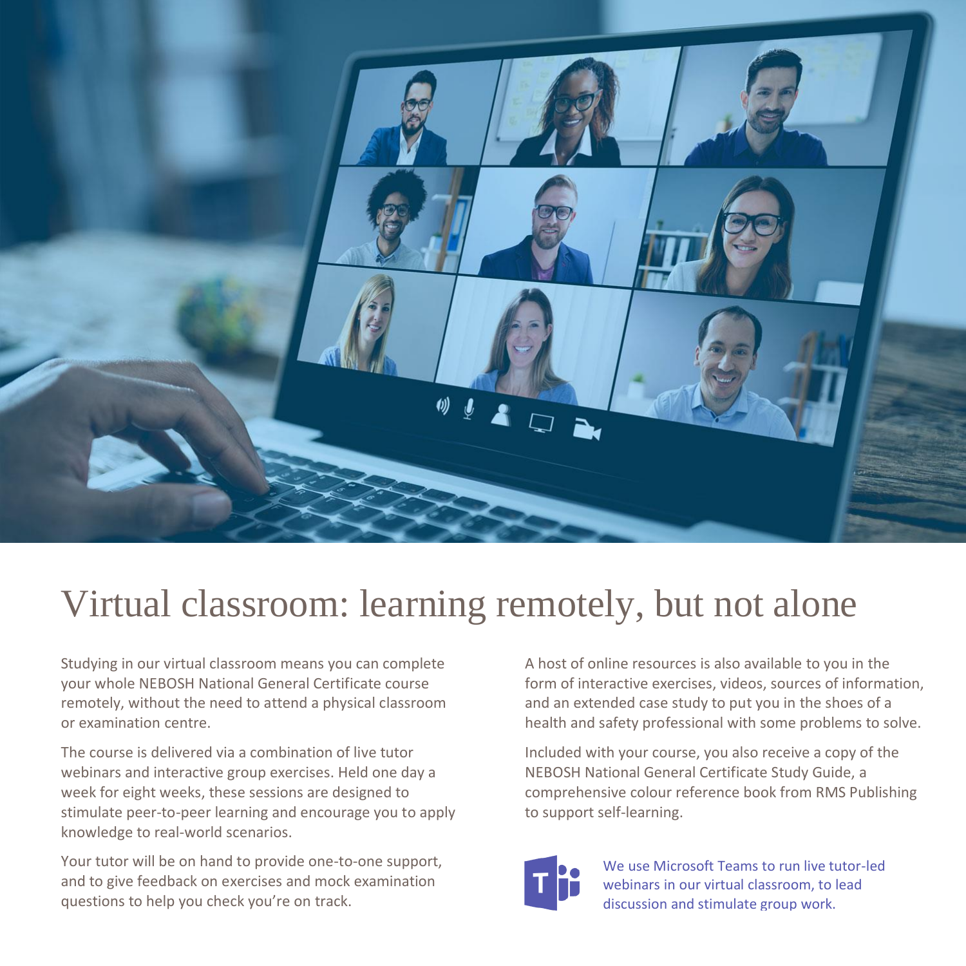

# Virtual classroom: learning remotely, but not alone

Studying in our virtual classroom means you can complete your whole NEBOSH National General Certificate course remotely, without the need to attend a physical classroom or examination centre.

The course is delivered via a combination of live tutor webinars and interactive group exercises. Held one day a week for eight weeks, these sessions are designed to stimulate peer-to-peer learning and encourage you to apply knowledge to real-world scenarios.

Your tutor will be on hand to provide one-to-one support, and to give feedback on exercises and mock examination questions to help you check you're on track.

A host of online resources is also available to you in the form of interactive exercises, videos, sources of information, and an extended case study to put you in the shoes of a health and safety professional with some problems to solve.

Included with your course, you also receive a copy of the NEBOSH National General Certificate Study Guide, a comprehensive colour reference book from RMS Publishing to support self-learning.



We use Microsoft Teams to run live tutor-led webinars in our virtual classroom, to lead discussion and stimulate group work.